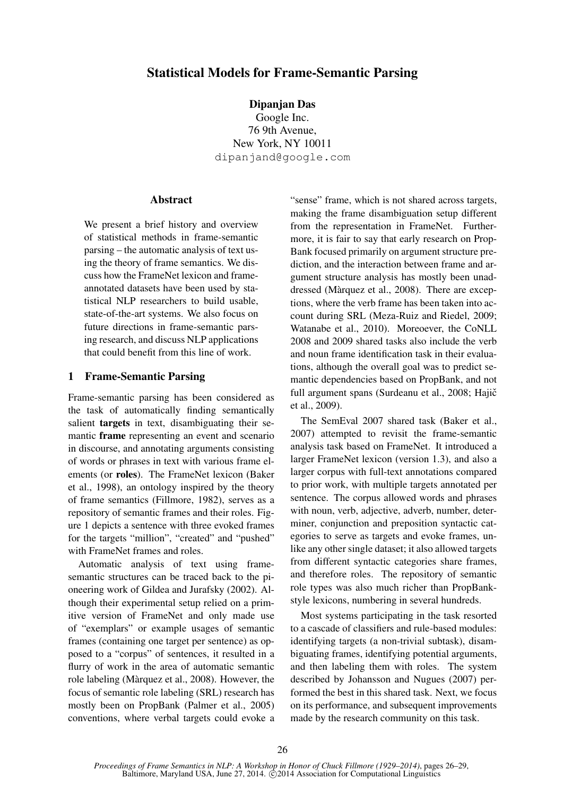# Statistical Models for Frame-Semantic Parsing

Dipanjan Das

Google Inc. 76 9th Avenue, New York, NY 10011 dipanjand@google.com

#### **Abstract**

We present a brief history and overview of statistical methods in frame-semantic parsing – the automatic analysis of text using the theory of frame semantics. We discuss how the FrameNet lexicon and frameannotated datasets have been used by statistical NLP researchers to build usable, state-of-the-art systems. We also focus on future directions in frame-semantic parsing research, and discuss NLP applications that could benefit from this line of work.

## 1 Frame-Semantic Parsing

Frame-semantic parsing has been considered as the task of automatically finding semantically salient targets in text, disambiguating their semantic frame representing an event and scenario in discourse, and annotating arguments consisting of words or phrases in text with various frame elements (or roles). The FrameNet lexicon (Baker et al., 1998), an ontology inspired by the theory of frame semantics (Fillmore, 1982), serves as a repository of semantic frames and their roles. Figure 1 depicts a sentence with three evoked frames for the targets "million", "created" and "pushed" with FrameNet frames and roles.

Automatic analysis of text using framesemantic structures can be traced back to the pioneering work of Gildea and Jurafsky (2002). Although their experimental setup relied on a primitive version of FrameNet and only made use of "exemplars" or example usages of semantic frames (containing one target per sentence) as opposed to a "corpus" of sentences, it resulted in a flurry of work in the area of automatic semantic role labeling (Marquez et al., 2008). However, the ` focus of semantic role labeling (SRL) research has mostly been on PropBank (Palmer et al., 2005) conventions, where verbal targets could evoke a "sense" frame, which is not shared across targets, making the frame disambiguation setup different from the representation in FrameNet. Furthermore, it is fair to say that early research on Prop-Bank focused primarily on argument structure prediction, and the interaction between frame and argument structure analysis has mostly been unaddressed (Màrquez et al., 2008). There are exceptions, where the verb frame has been taken into account during SRL (Meza-Ruiz and Riedel, 2009; Watanabe et al., 2010). Moreoever, the CoNLL 2008 and 2009 shared tasks also include the verb and noun frame identification task in their evaluations, although the overall goal was to predict semantic dependencies based on PropBank, and not full argument spans (Surdeanu et al., 2008; Hajič et al., 2009).

The SemEval 2007 shared task (Baker et al., 2007) attempted to revisit the frame-semantic analysis task based on FrameNet. It introduced a larger FrameNet lexicon (version 1.3), and also a larger corpus with full-text annotations compared to prior work, with multiple targets annotated per sentence. The corpus allowed words and phrases with noun, verb, adjective, adverb, number, determiner, conjunction and preposition syntactic categories to serve as targets and evoke frames, unlike any other single dataset; it also allowed targets from different syntactic categories share frames, and therefore roles. The repository of semantic role types was also much richer than PropBankstyle lexicons, numbering in several hundreds.

Most systems participating in the task resorted to a cascade of classifiers and rule-based modules: identifying targets (a non-trivial subtask), disambiguating frames, identifying potential arguments, and then labeling them with roles. The system described by Johansson and Nugues (2007) performed the best in this shared task. Next, we focus on its performance, and subsequent improvements made by the research community on this task.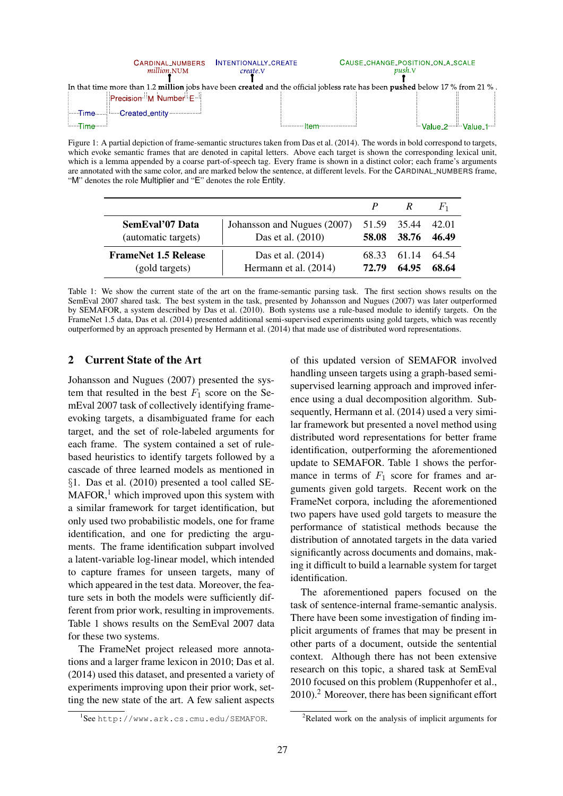|                                                                                                                               | CARDINAL_NUMBERS<br><i>million.NUM</i>                        | INTENTIONALLY_CREATE<br>create.V | CAUSE_CHANGE_POSITION_ON_A_SCALE<br><i>push.</i> V |                                                                   |  |  |
|-------------------------------------------------------------------------------------------------------------------------------|---------------------------------------------------------------|----------------------------------|----------------------------------------------------|-------------------------------------------------------------------|--|--|
| In that time more than 1.2 million jobs have been created and the official jobless rate has been pushed below 17 % from 21 %. |                                                               |                                  |                                                    |                                                                   |  |  |
|                                                                                                                               | Precision <sup>31</sup> M Number <sup>1</sup> E <sup>11</sup> |                                  |                                                    |                                                                   |  |  |
|                                                                                                                               | Filme Created_entity Created Later                            |                                  |                                                    |                                                                   |  |  |
| <b>Election</b> Time                                                                                                          |                                                               |                                  | <u>immum Itam mummum e</u>                         | <sup>3.</sup> Value 2 <sup>. 3. 3</sup> Value 1 <sup>. 3. 4</sup> |  |  |

Figure 1: A partial depiction of frame-semantic structures taken from Das et al. (2014). The words in bold correspond to targets, which evoke semantic frames that are denoted in capital letters. Above each target is shown the corresponding lexical unit, which is a lemma appended by a coarse part-of-speech tag. Every frame is shown in a distinct color; each frame's arguments are annotated with the same color, and are marked below the sentence, at different levels. For the CARDINAL NUMBERS frame, "M" denotes the role Multiplier and "E" denotes the role Entity.

|                             |                             |       |             | $F_{1}$ |
|-----------------------------|-----------------------------|-------|-------------|---------|
| SemEval'07 Data             | Johansson and Nugues (2007) | 58.08 | 51.59 35.44 | 42.01   |
| (automatic targets)         | Das et al. (2010)           |       | 38.76       | 46.49   |
| <b>FrameNet 1.5 Release</b> | Das et al. (2014)           | 72.79 | 68.33 61.14 | 64.54   |
| (gold targets)              | Hermann et al. (2014)       |       | 64.95       | 68.64   |

Table 1: We show the current state of the art on the frame-semantic parsing task. The first section shows results on the SemEval 2007 shared task. The best system in the task, presented by Johansson and Nugues (2007) was later outperformed by SEMAFOR, a system described by Das et al. (2010). Both systems use a rule-based module to identify targets. On the FrameNet 1.5 data, Das et al. (2014) presented additional semi-supervised experiments using gold targets, which was recently outperformed by an approach presented by Hermann et al. (2014) that made use of distributed word representations.

# 2 Current State of the Art

Johansson and Nugues (2007) presented the system that resulted in the best  $F_1$  score on the SemEval 2007 task of collectively identifying frameevoking targets, a disambiguated frame for each target, and the set of role-labeled arguments for each frame. The system contained a set of rulebased heuristics to identify targets followed by a cascade of three learned models as mentioned in §1. Das et al. (2010) presented a tool called SE- $MAFOR<sup>1</sup>$ , which improved upon this system with a similar framework for target identification, but only used two probabilistic models, one for frame identification, and one for predicting the arguments. The frame identification subpart involved a latent-variable log-linear model, which intended to capture frames for unseen targets, many of which appeared in the test data. Moreover, the feature sets in both the models were sufficiently different from prior work, resulting in improvements. Table 1 shows results on the SemEval 2007 data for these two systems.

The FrameNet project released more annotations and a larger frame lexicon in 2010; Das et al. (2014) used this dataset, and presented a variety of experiments improving upon their prior work, setting the new state of the art. A few salient aspects of this updated version of SEMAFOR involved handling unseen targets using a graph-based semisupervised learning approach and improved inference using a dual decomposition algorithm. Subsequently, Hermann et al. (2014) used a very similar framework but presented a novel method using distributed word representations for better frame identification, outperforming the aforementioned update to SEMAFOR. Table 1 shows the performance in terms of  $F_1$  score for frames and arguments given gold targets. Recent work on the FrameNet corpora, including the aforementioned two papers have used gold targets to measure the performance of statistical methods because the distribution of annotated targets in the data varied significantly across documents and domains, making it difficult to build a learnable system for target identification.

The aforementioned papers focused on the task of sentence-internal frame-semantic analysis. There have been some investigation of finding implicit arguments of frames that may be present in other parts of a document, outside the sentential context. Although there has not been extensive research on this topic, a shared task at SemEval 2010 focused on this problem (Ruppenhofer et al.,  $2010$ .<sup>2</sup> Moreover, there has been significant effort

<sup>1</sup> See http://www.ark.cs.cmu.edu/SEMAFOR.

 ${}^{2}$ Related work on the analysis of implicit arguments for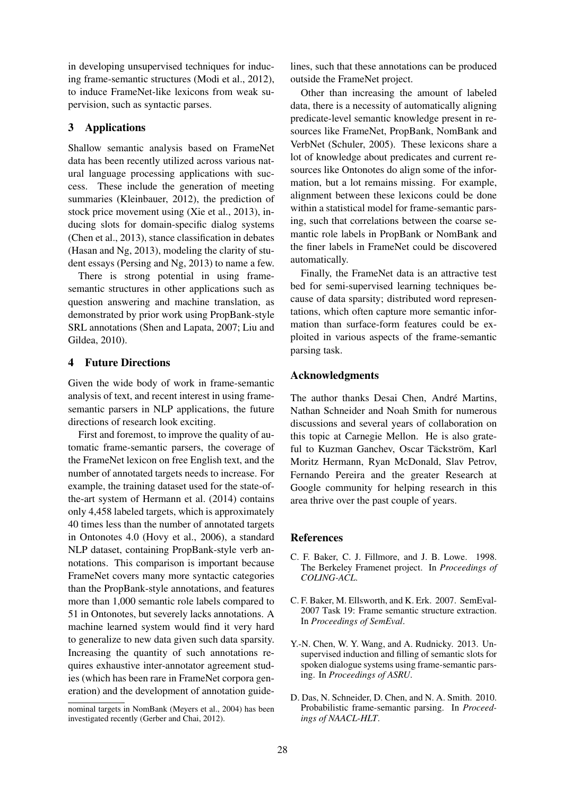in developing unsupervised techniques for inducing frame-semantic structures (Modi et al., 2012), to induce FrameNet-like lexicons from weak supervision, such as syntactic parses.

# 3 Applications

Shallow semantic analysis based on FrameNet data has been recently utilized across various natural language processing applications with success. These include the generation of meeting summaries (Kleinbauer, 2012), the prediction of stock price movement using (Xie et al., 2013), inducing slots for domain-specific dialog systems (Chen et al., 2013), stance classification in debates (Hasan and Ng, 2013), modeling the clarity of student essays (Persing and Ng, 2013) to name a few.

There is strong potential in using framesemantic structures in other applications such as question answering and machine translation, as demonstrated by prior work using PropBank-style SRL annotations (Shen and Lapata, 2007; Liu and Gildea, 2010).

# 4 Future Directions

Given the wide body of work in frame-semantic analysis of text, and recent interest in using framesemantic parsers in NLP applications, the future directions of research look exciting.

First and foremost, to improve the quality of automatic frame-semantic parsers, the coverage of the FrameNet lexicon on free English text, and the number of annotated targets needs to increase. For example, the training dataset used for the state-ofthe-art system of Hermann et al. (2014) contains only 4,458 labeled targets, which is approximately 40 times less than the number of annotated targets in Ontonotes 4.0 (Hovy et al., 2006), a standard NLP dataset, containing PropBank-style verb annotations. This comparison is important because FrameNet covers many more syntactic categories than the PropBank-style annotations, and features more than 1,000 semantic role labels compared to 51 in Ontonotes, but severely lacks annotations. A machine learned system would find it very hard to generalize to new data given such data sparsity. Increasing the quantity of such annotations requires exhaustive inter-annotator agreement studies (which has been rare in FrameNet corpora generation) and the development of annotation guidelines, such that these annotations can be produced outside the FrameNet project.

Other than increasing the amount of labeled data, there is a necessity of automatically aligning predicate-level semantic knowledge present in resources like FrameNet, PropBank, NomBank and VerbNet (Schuler, 2005). These lexicons share a lot of knowledge about predicates and current resources like Ontonotes do align some of the information, but a lot remains missing. For example, alignment between these lexicons could be done within a statistical model for frame-semantic parsing, such that correlations between the coarse semantic role labels in PropBank or NomBank and the finer labels in FrameNet could be discovered automatically.

Finally, the FrameNet data is an attractive test bed for semi-supervised learning techniques because of data sparsity; distributed word representations, which often capture more semantic information than surface-form features could be exploited in various aspects of the frame-semantic parsing task.

## Acknowledgments

The author thanks Desai Chen, André Martins, Nathan Schneider and Noah Smith for numerous discussions and several years of collaboration on this topic at Carnegie Mellon. He is also grateful to Kuzman Ganchev, Oscar Täckström, Karl Moritz Hermann, Ryan McDonald, Slav Petrov, Fernando Pereira and the greater Research at Google community for helping research in this area thrive over the past couple of years.

## References

- C. F. Baker, C. J. Fillmore, and J. B. Lowe. 1998. The Berkeley Framenet project. In *Proceedings of COLING-ACL*.
- C. F. Baker, M. Ellsworth, and K. Erk. 2007. SemEval-2007 Task 19: Frame semantic structure extraction. In *Proceedings of SemEval*.
- Y.-N. Chen, W. Y. Wang, and A. Rudnicky. 2013. Unsupervised induction and filling of semantic slots for spoken dialogue systems using frame-semantic parsing. In *Proceedings of ASRU*.
- D. Das, N. Schneider, D. Chen, and N. A. Smith. 2010. Probabilistic frame-semantic parsing. In *Proceedings of NAACL-HLT*.

nominal targets in NomBank (Meyers et al., 2004) has been investigated recently (Gerber and Chai, 2012).